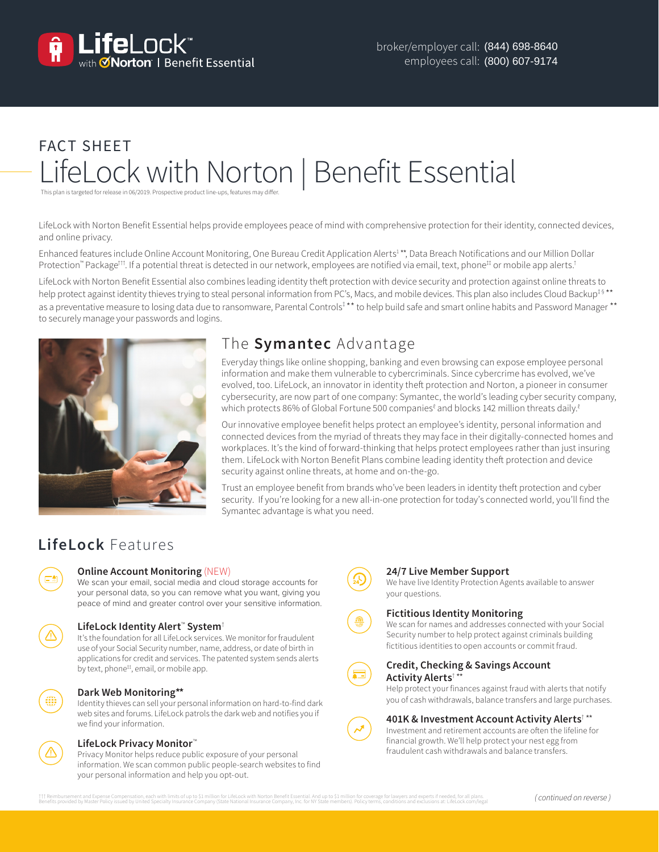

# FACT SHEET LifeLock with Norton | Benefit Essential

This plan is targeted for release in 06/2019. Prospective product line-ups, features may differ.

LifeLock with Norton Benefit Essential helps provide employees peace of mind with comprehensive protection for their identity, connected devices, and online privacy.

Enhanced features include Online Account Monitoring, One Bureau Credit Application Alerts<sup>1</sup>\*\*, Data Breach Notifications and our Million Dollar Protection™ Package<sup>††</sup>. If a potential threat is detected in our network, employees are notified via email, text, phone<sup>‡†</sup> or mobile app alerts.<sup>†</sup>

LifeLock with Norton Benefit Essential also combines leading identity theft protection with device security and protection against online threats to help protect against identity thieves trying to steal personal information from PC's, Macs, and mobile devices. This plan also includes Cloud Backup<sup>‡ §\*\*</sup> as a preventative measure to losing data due to ransomware, Parental Controls<sup>†\*\*</sup> to help build safe and smart online habits and Password Manager \*\* to securely manage your passwords and logins.



# The **Symantec** Advantage

Everyday things like online shopping, banking and even browsing can expose employee personal information and make them vulnerable to cybercriminals. Since cybercrime has evolved, we've evolved, too. LifeLock, an innovator in identity theft protection and Norton, a pioneer in consumer cybersecurity, are now part of one company: Symantec, the world's leading cyber security company, which protects 86% of Global Fortune 500 companies ${}^{\ell}$  and blocks 142 million threats daily. ${}^{\ell}$ 

Our innovative employee benefit helps protect an employee's identity, personal information and connected devices from the myriad of threats they may face in their digitally-connected homes and workplaces. It's the kind of forward-thinking that helps protect employees rather than just insuring them. LifeLock with Norton Benefit Plans combine leading identity theft protection and device security against online threats, at home and on-the-go.

Trust an employee benefit from brands who've been leaders in identity theft protection and cyber security. If you're looking for a new all-in-one protection for today's connected world, you'll find the Symantec advantage is what you need.

# **LifeLock** Features

# **Online Account Monitoring** (NEW)

We scan your email, social media and cloud storage accounts for your personal data, so you can remove what you want, giving you peace of mind and greater control over your sensitive information.

# **LifeLock Identity Alert**™ **System**†

It's the foundation for all LifeLock services. We monitor for fraudulent use of your Social Security number, name, address, or date of birth in applications for credit and services. The patented system sends alerts by text, phone<sup>#</sup>, email, or mobile app.

#### **Dark Web Monitoring\*\***

Identity thieves can sell your personal information on hard-to-find dark web sites and forums. LifeLock patrols the dark web and notifies you if we find your information.

#### **LifeLock Privacy Monitor**™

Privacy Monitor helps reduce public exposure of your personal information. We scan common public people-search websites to find your personal information and help you opt-out.



#### **24/7 Live Member Support**

We have live Identity Protection Agents available to answer your questions.

#### **Fictitious Identity Monitoring**

We scan for names and addresses connected with your Social Security number to help protect against criminals building fictitious identities to open accounts or commit fraud.



# **Credit, Checking & Savings Account Activity Alerts**† \*\*

Help protect your finances against fraud with alerts that notify you of cash withdrawals, balance transfers and large purchases.

#### **401K & Investment Account Activity Alerts**† \*\*

Investment and retirement accounts are often the lifeline for financial growth. We'll help protect your nest egg from fraudulent cash withdrawals and balance transfers.

ttT Reimbursement and Expense Gompensation, each with limits of up to be the memode of the memode of the memode<br>Benefits provided by Master Policy issued by United Specialty Insurance Compaty incompany, Inc. for My State o